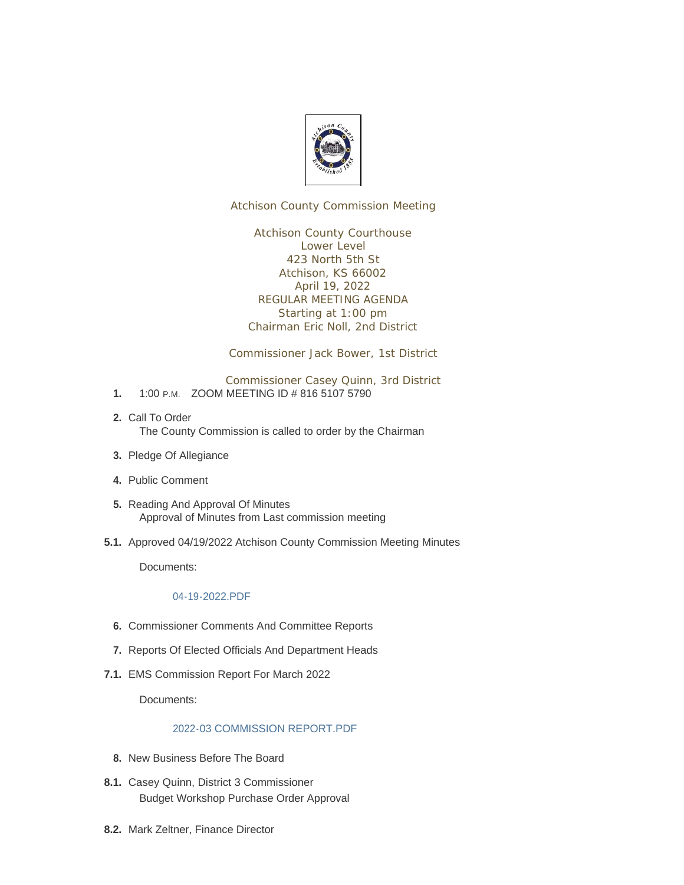

Atchison County Commission Meeting

Atchison County Courthouse Lower Level 423 North 5th St Atchison, KS 66002 April 19, 2022 REGULAR MEETING AGENDA Starting at 1:00 pm Chairman Eric Noll, 2nd District

Commissioner Jack Bower, 1st District

Commissioner Casey Quinn, 3rd District

- 1. 1:00 P.M. ZOOM MEETING ID # 816 5107 5790
- 2. Call To Order The County Commission is called to order by the Chairman
- 3. Pledge Of Allegiance
- Public Comment **4.**
- 5. Reading And Approval Of Minutes Approval of Minutes from Last commission meeting
- 5.1. Approved 04/19/2022 Atchison County Commission Meeting Minutes

Documents:

## [04-19-2022.PDF](http://www.atchisoncountyks.org/AgendaCenter/ViewFile/Item/10543?fileID=1731)

- **6.** Commissioner Comments And Committee Reports
- 7. Reports Of Elected Officials And Department Heads
- EMS Commission Report For March 2022 **7.1.**

Documents:

## [2022-03 COMMISSION REPORT.PDF](http://www.atchisoncountyks.org/AgendaCenter/ViewFile/Item/10082?fileID=1716)

- 8. New Business Before The Board
- 8.1. Casey Quinn, District 3 Commissioner Budget Workshop Purchase Order Approval
- 8.2. Mark Zeltner, Finance Director